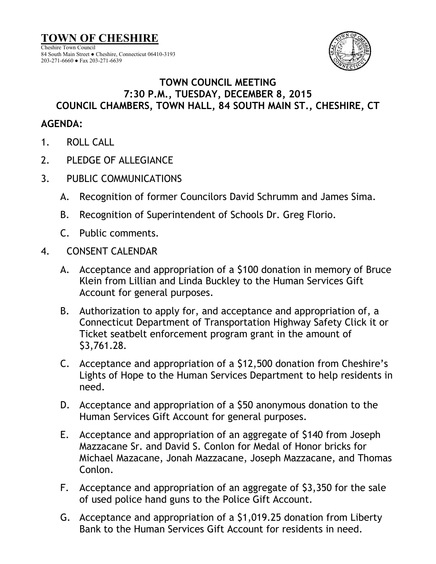**TOWN OF CHESHIRE** Cheshire Town Council 84 South Main Street ● Cheshire, Connecticut 06410-3193 203-271-6660 ● Fax 203-271-6639



## **TOWN COUNCIL MEETING 7:30 P.M., TUESDAY, DECEMBER 8, 2015 COUNCIL CHAMBERS, TOWN HALL, 84 SOUTH MAIN ST., CHESHIRE, CT**

## **AGENDA:**

- 1. ROLL CALL
- 2. PLEDGE OF ALLEGIANCE
- 3. PUBLIC COMMUNICATIONS
	- A. Recognition of former Councilors David Schrumm and James Sima.
	- B. Recognition of Superintendent of Schools Dr. Greg Florio.
	- C. Public comments.
- 4. CONSENT CALENDAR
	- A. Acceptance and appropriation of a \$100 donation in memory of Bruce Klein from Lillian and Linda Buckley to the Human Services Gift Account for general purposes.
	- B. Authorization to apply for, and acceptance and appropriation of, a Connecticut Department of Transportation Highway Safety Click it or Ticket seatbelt enforcement program grant in the amount of \$3,761.28.
	- C. Acceptance and appropriation of a \$12,500 donation from Cheshire's Lights of Hope to the Human Services Department to help residents in need.
	- D. Acceptance and appropriation of a \$50 anonymous donation to the Human Services Gift Account for general purposes.
	- E. Acceptance and appropriation of an aggregate of \$140 from Joseph Mazzacane Sr. and David S. Conlon for Medal of Honor bricks for Michael Mazacane, Jonah Mazzacane, Joseph Mazzacane, and Thomas Conlon.
	- F. Acceptance and appropriation of an aggregate of \$3,350 for the sale of used police hand guns to the Police Gift Account.
	- G. Acceptance and appropriation of a \$1,019.25 donation from Liberty Bank to the Human Services Gift Account for residents in need.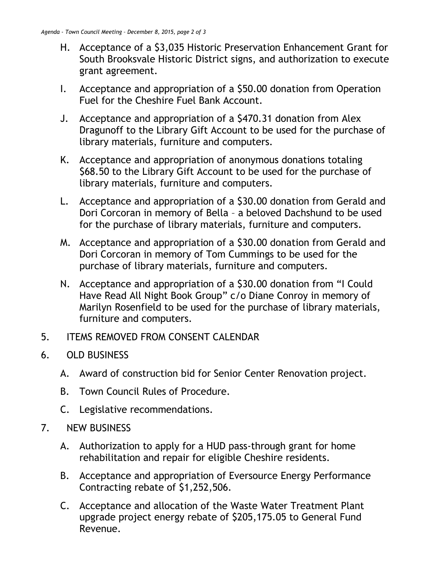- H. Acceptance of a \$3,035 Historic Preservation Enhancement Grant for South Brooksvale Historic District signs, and authorization to execute grant agreement.
- I. Acceptance and appropriation of a \$50.00 donation from Operation Fuel for the Cheshire Fuel Bank Account.
- J. Acceptance and appropriation of a \$470.31 donation from Alex Dragunoff to the Library Gift Account to be used for the purchase of library materials, furniture and computers.
- K. Acceptance and appropriation of anonymous donations totaling \$68.50 to the Library Gift Account to be used for the purchase of library materials, furniture and computers.
- L. Acceptance and appropriation of a \$30.00 donation from Gerald and Dori Corcoran in memory of Bella – a beloved Dachshund to be used for the purchase of library materials, furniture and computers.
- M. Acceptance and appropriation of a \$30.00 donation from Gerald and Dori Corcoran in memory of Tom Cummings to be used for the purchase of library materials, furniture and computers.
- N. Acceptance and appropriation of a \$30.00 donation from "I Could Have Read All Night Book Group" c/o Diane Conroy in memory of Marilyn Rosenfield to be used for the purchase of library materials, furniture and computers.
- 5. ITEMS REMOVED FROM CONSENT CALENDAR
- 6. OLD BUSINESS
	- A. Award of construction bid for Senior Center Renovation project.
	- B. Town Council Rules of Procedure.
	- C. Legislative recommendations.
- 7. NEW BUSINESS
	- A. Authorization to apply for a HUD pass-through grant for home rehabilitation and repair for eligible Cheshire residents.
	- B. Acceptance and appropriation of Eversource Energy Performance Contracting rebate of \$1,252,506.
	- C. Acceptance and allocation of the Waste Water Treatment Plant upgrade project energy rebate of \$205,175.05 to General Fund Revenue.